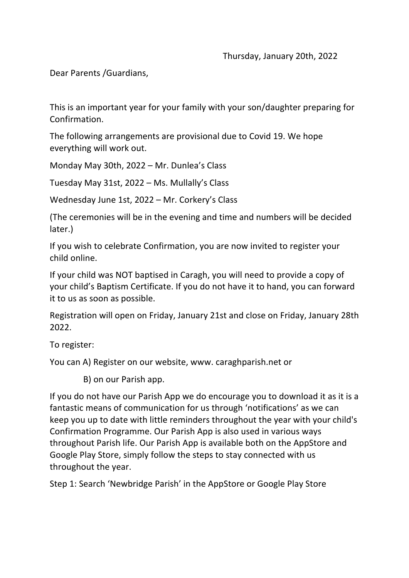Dear Parents /Guardians,

This is an important year for your family with your son/daughter preparing for Confirmation.

The following arrangements are provisional due to Covid 19. We hope everything will work out.

Monday May 30th, 2022 – Mr. Dunlea's Class

Tuesday May 31st, 2022 – Ms. Mullally's Class

Wednesday June 1st, 2022 – Mr. Corkery's Class

(The ceremonies will be in the evening and time and numbers will be decided later.)

If you wish to celebrate Confirmation, you are now invited to register your child online.

If your child was NOT baptised in Caragh, you will need to provide a copy of your child's Baptism Certificate. If you do not have it to hand, you can forward it to us as soon as possible.

Registration will open on Friday, January 21st and close on Friday, January 28th 2022.

To register:

You can A) Register on our website, www. caraghparish.net or

B) on our Parish app.

If you do not have our Parish App we do encourage you to download it as it is a fantastic means of communication for us through 'notifications' as we can keep you up to date with little reminders throughout the year with your child's Confirmation Programme. Our Parish App is also used in various ways throughout Parish life. Our Parish App is available both on the AppStore and Google Play Store, simply follow the steps to stay connected with us throughout the year.

Step 1: Search 'Newbridge Parish' in the AppStore or Google Play Store